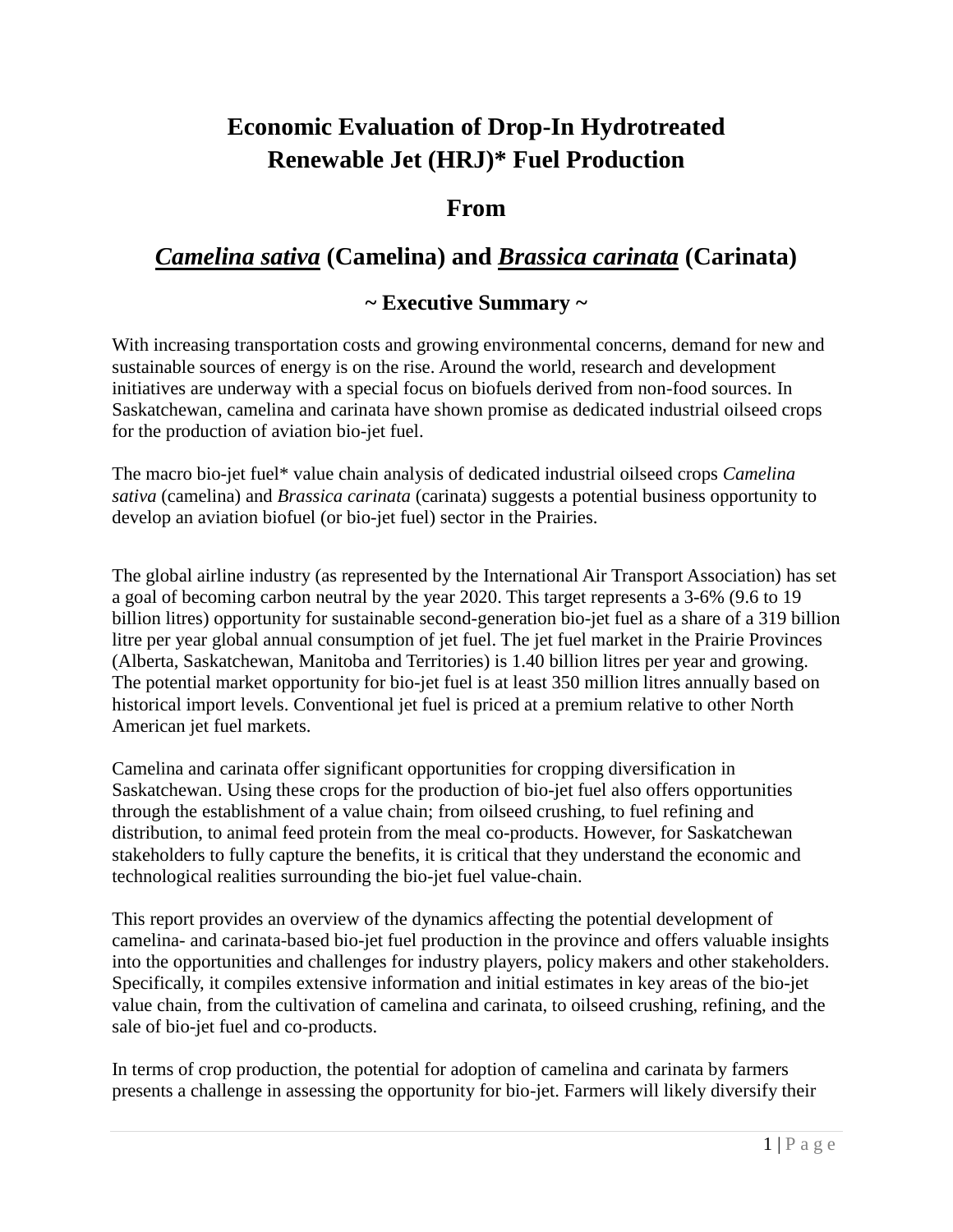# **Economic Evaluation of Drop-In Hydrotreated Renewable Jet (HRJ)\* Fuel Production**

## **From**

## *Camelina sativa* **(Camelina) and** *Brassica carinata* **(Carinata)**

### **~ Executive Summary ~**

With increasing transportation costs and growing environmental concerns, demand for new and sustainable sources of energy is on the rise. Around the world, research and development initiatives are underway with a special focus on biofuels derived from non-food sources. In Saskatchewan, camelina and carinata have shown promise as dedicated industrial oilseed crops for the production of aviation bio-jet fuel.

The macro bio-jet fuel\* value chain analysis of dedicated industrial oilseed crops *Camelina sativa* (camelina) and *Brassica carinata* (carinata) suggests a potential business opportunity to develop an aviation biofuel (or bio-jet fuel) sector in the Prairies.

The global airline industry (as represented by the International Air Transport Association) has set a goal of becoming carbon neutral by the year 2020. This target represents a 3-6% (9.6 to 19 billion litres) opportunity for sustainable second-generation bio-jet fuel as a share of a 319 billion litre per year global annual consumption of jet fuel. The jet fuel market in the Prairie Provinces (Alberta, Saskatchewan, Manitoba and Territories) is 1.40 billion litres per year and growing. The potential market opportunity for bio-jet fuel is at least 350 million litres annually based on historical import levels. Conventional jet fuel is priced at a premium relative to other North American jet fuel markets.

Camelina and carinata offer significant opportunities for cropping diversification in Saskatchewan. Using these crops for the production of bio-jet fuel also offers opportunities through the establishment of a value chain; from oilseed crushing, to fuel refining and distribution, to animal feed protein from the meal co-products. However, for Saskatchewan stakeholders to fully capture the benefits, it is critical that they understand the economic and technological realities surrounding the bio-jet fuel value-chain.

This report provides an overview of the dynamics affecting the potential development of camelina- and carinata-based bio-jet fuel production in the province and offers valuable insights into the opportunities and challenges for industry players, policy makers and other stakeholders. Specifically, it compiles extensive information and initial estimates in key areas of the bio-jet value chain, from the cultivation of camelina and carinata, to oilseed crushing, refining, and the sale of bio-jet fuel and co-products.

In terms of crop production, the potential for adoption of camelina and carinata by farmers presents a challenge in assessing the opportunity for bio-jet. Farmers will likely diversify their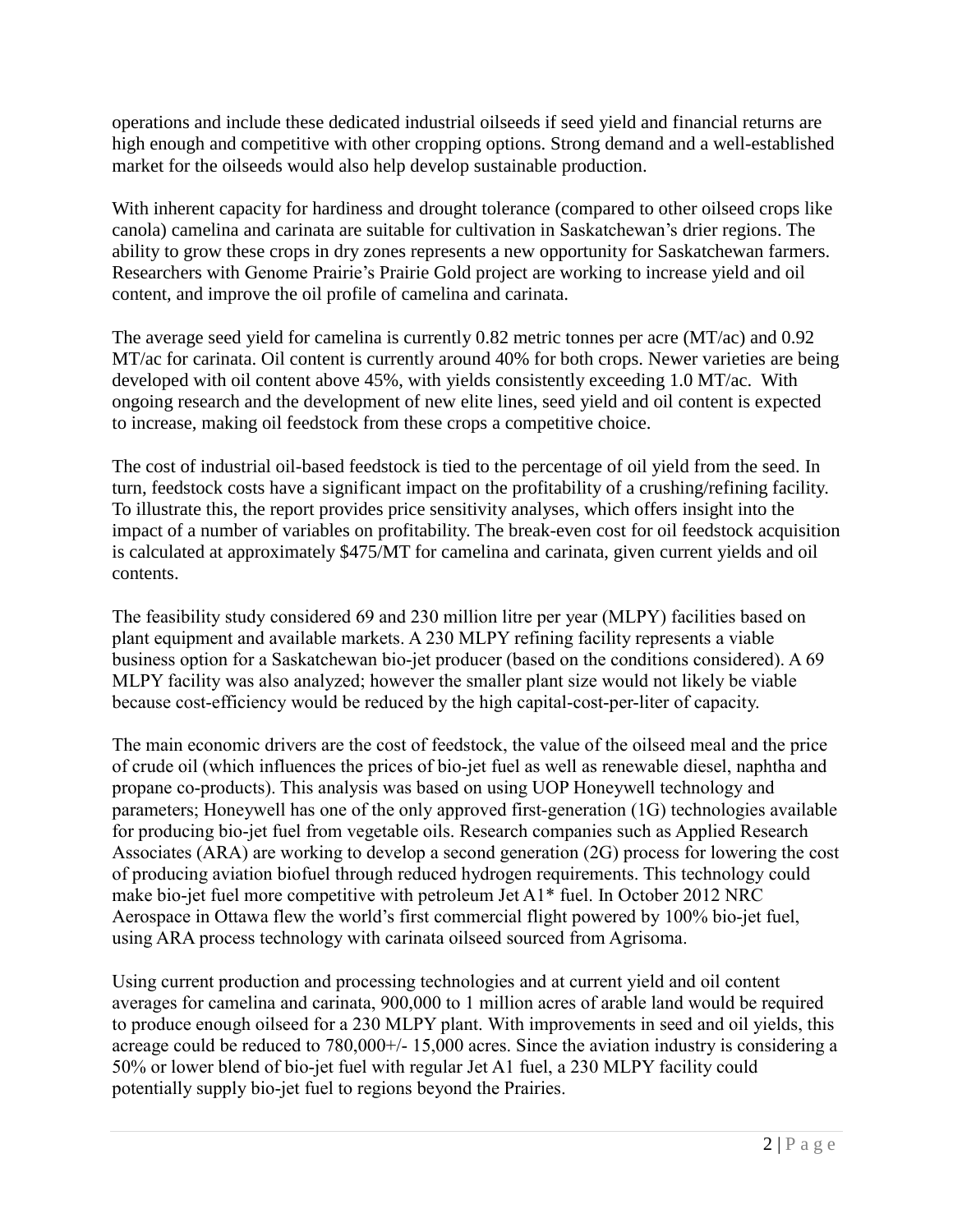operations and include these dedicated industrial oilseeds if seed yield and financial returns are high enough and competitive with other cropping options. Strong demand and a well-established market for the oilseeds would also help develop sustainable production.

With inherent capacity for hardiness and drought tolerance (compared to other oilseed crops like canola) camelina and carinata are suitable for cultivation in Saskatchewan's drier regions. The ability to grow these crops in dry zones represents a new opportunity for Saskatchewan farmers. Researchers with Genome Prairie's Prairie Gold project are working to increase yield and oil content, and improve the oil profile of camelina and carinata.

The average seed yield for camelina is currently 0.82 metric tonnes per acre (MT/ac) and 0.92 MT/ac for carinata. Oil content is currently around 40% for both crops. Newer varieties are being developed with oil content above 45%, with yields consistently exceeding 1.0 MT/ac. With ongoing research and the development of new elite lines, seed yield and oil content is expected to increase, making oil feedstock from these crops a competitive choice.

The cost of industrial oil-based feedstock is tied to the percentage of oil yield from the seed. In turn, feedstock costs have a significant impact on the profitability of a crushing/refining facility. To illustrate this, the report provides price sensitivity analyses, which offers insight into the impact of a number of variables on profitability. The break-even cost for oil feedstock acquisition is calculated at approximately \$475/MT for camelina and carinata, given current yields and oil contents.

The feasibility study considered 69 and 230 million litre per year (MLPY) facilities based on plant equipment and available markets. A 230 MLPY refining facility represents a viable business option for a Saskatchewan bio-jet producer (based on the conditions considered). A 69 MLPY facility was also analyzed; however the smaller plant size would not likely be viable because cost-efficiency would be reduced by the high capital-cost-per-liter of capacity.

The main economic drivers are the cost of feedstock, the value of the oilseed meal and the price of crude oil (which influences the prices of bio-jet fuel as well as renewable diesel, naphtha and propane co-products). This analysis was based on using UOP Honeywell technology and parameters; Honeywell has one of the only approved first-generation (1G) technologies available for producing bio-jet fuel from vegetable oils. Research companies such as Applied Research Associates (ARA) are working to develop a second generation (2G) process for lowering the cost of producing aviation biofuel through reduced hydrogen requirements. This technology could make bio-jet fuel more competitive with petroleum Jet A1\* fuel. In October 2012 NRC Aerospace in Ottawa flew the world's first commercial flight powered by 100% bio-jet fuel, using ARA process technology with carinata oilseed sourced from Agrisoma.

Using current production and processing technologies and at current yield and oil content averages for camelina and carinata, 900,000 to 1 million acres of arable land would be required to produce enough oilseed for a 230 MLPY plant. With improvements in seed and oil yields, this acreage could be reduced to 780,000+/- 15,000 acres. Since the aviation industry is considering a 50% or lower blend of bio-jet fuel with regular Jet A1 fuel, a 230 MLPY facility could potentially supply bio-jet fuel to regions beyond the Prairies.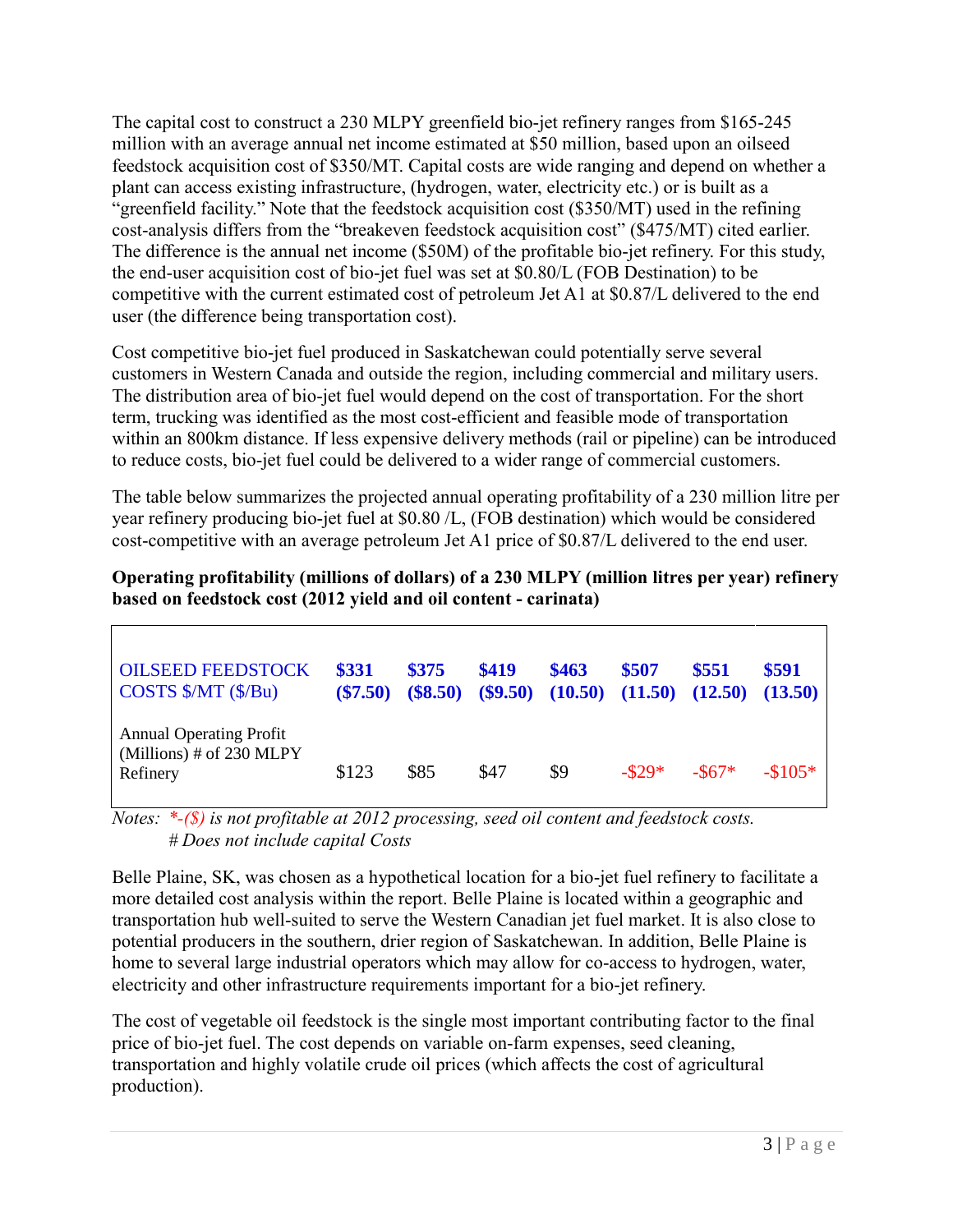The capital cost to construct a 230 MLPY greenfield bio-jet refinery ranges from \$165-245 million with an average annual net income estimated at \$50 million, based upon an oilseed feedstock acquisition cost of \$350/MT. Capital costs are wide ranging and depend on whether a plant can access existing infrastructure, (hydrogen, water, electricity etc.) or is built as a "greenfield facility." Note that the feedstock acquisition cost (\$350/MT) used in the refining cost-analysis differs from the "breakeven feedstock acquisition cost" (\$475/MT) cited earlier. The difference is the annual net income (\$50M) of the profitable bio-jet refinery. For this study, the end-user acquisition cost of bio-jet fuel was set at \$0.80/L (FOB Destination) to be competitive with the current estimated cost of petroleum Jet A1 at \$0.87/L delivered to the end user (the difference being transportation cost).

Cost competitive bio-jet fuel produced in Saskatchewan could potentially serve several customers in Western Canada and outside the region, including commercial and military users. The distribution area of bio-jet fuel would depend on the cost of transportation. For the short term, trucking was identified as the most cost-efficient and feasible mode of transportation within an 800km distance. If less expensive delivery methods (rail or pipeline) can be introduced to reduce costs, bio-jet fuel could be delivered to a wider range of commercial customers.

The table below summarizes the projected annual operating profitability of a 230 million litre per year refinery producing bio-jet fuel at \$0.80 /L, (FOB destination) which would be considered cost-competitive with an average petroleum Jet A1 price of \$0.87/L delivered to the end user.

**Operating profitability (millions of dollars) of a 230 MLPY (million litres per year) refinery based on feedstock cost (2012 yield and oil content - carinata)** 

| <b>OILSEED FEEDSTOCK</b><br>$\cos$ TS $\frac{S}{MT}$ ( $\frac{S}{B}$ u) | \$331<br>$(\$7.50)$ | <b>\$375</b><br>(\$8.50) | \$419 | \$463<br>$($ \$9.50) $(10.50)$ $(11.50)$ | \$507   | \$551<br>(12.50) | \$591<br>(13.50) |
|-------------------------------------------------------------------------|---------------------|--------------------------|-------|------------------------------------------|---------|------------------|------------------|
| <b>Annual Operating Profit</b><br>(Millions) # of 230 MLPY<br>Refinery  | \$123               | \$85                     | \$47  | \$9                                      | $-829*$ | $-867*$          | $-\$105*$        |

*Notes: \*-(\$) is not profitable at 2012 processing, seed oil content and feedstock costs. # Does not include capital Costs*

Belle Plaine, SK, was chosen as a hypothetical location for a bio-jet fuel refinery to facilitate a more detailed cost analysis within the report. Belle Plaine is located within a geographic and transportation hub well-suited to serve the Western Canadian jet fuel market. It is also close to potential producers in the southern, drier region of Saskatchewan. In addition, Belle Plaine is home to several large industrial operators which may allow for co-access to hydrogen, water, electricity and other infrastructure requirements important for a bio-jet refinery.

The cost of vegetable oil feedstock is the single most important contributing factor to the final price of bio-jet fuel. The cost depends on variable on-farm expenses, seed cleaning, transportation and highly volatile crude oil prices (which affects the cost of agricultural production).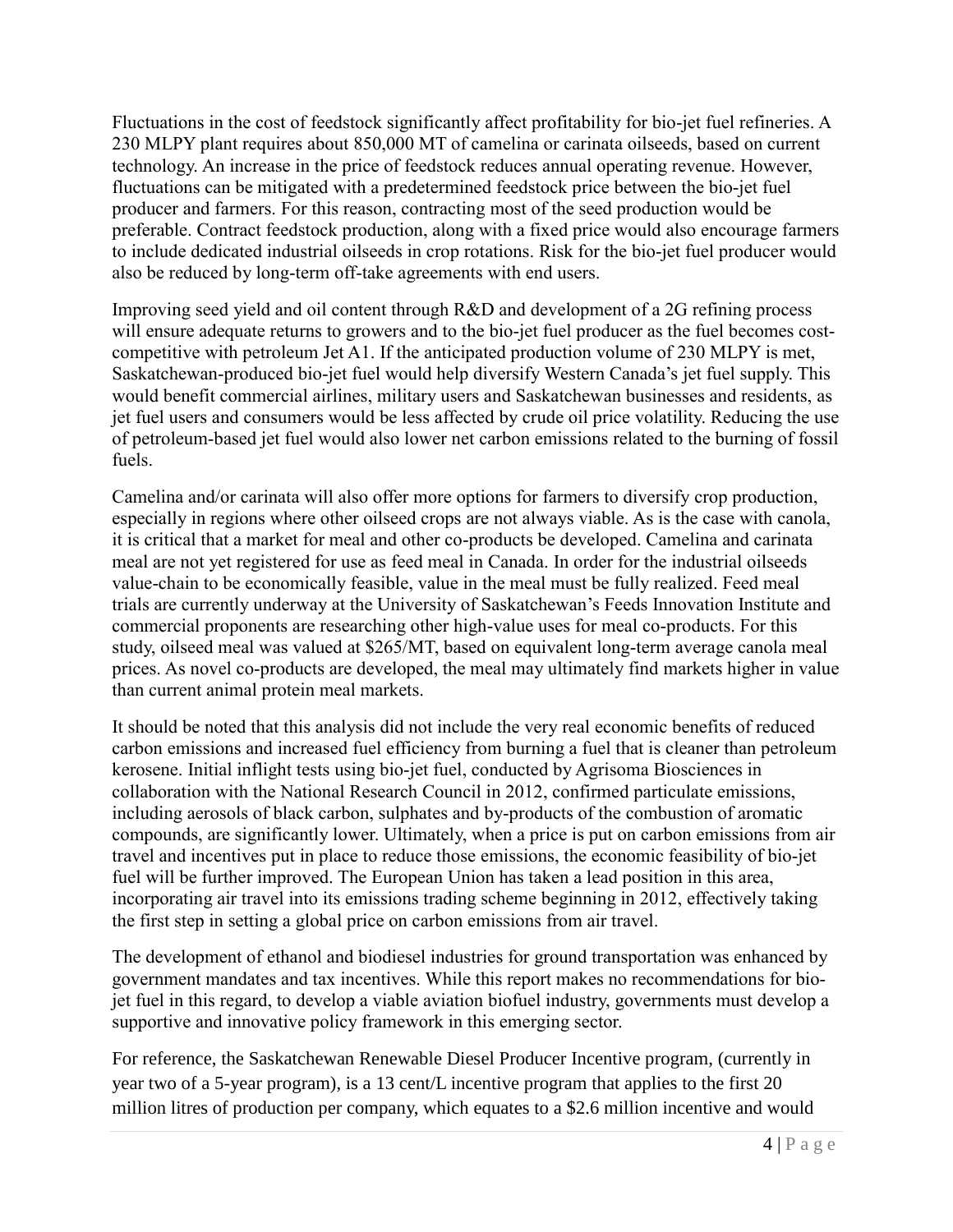Fluctuations in the cost of feedstock significantly affect profitability for bio-jet fuel refineries. A 230 MLPY plant requires about 850,000 MT of camelina or carinata oilseeds, based on current technology. An increase in the price of feedstock reduces annual operating revenue. However, fluctuations can be mitigated with a predetermined feedstock price between the bio-jet fuel producer and farmers. For this reason, contracting most of the seed production would be preferable. Contract feedstock production, along with a fixed price would also encourage farmers to include dedicated industrial oilseeds in crop rotations. Risk for the bio-jet fuel producer would also be reduced by long-term off-take agreements with end users.

Improving seed yield and oil content through R&D and development of a 2G refining process will ensure adequate returns to growers and to the bio-jet fuel producer as the fuel becomes costcompetitive with petroleum Jet A1. If the anticipated production volume of 230 MLPY is met, Saskatchewan-produced bio-jet fuel would help diversify Western Canada's jet fuel supply. This would benefit commercial airlines, military users and Saskatchewan businesses and residents, as jet fuel users and consumers would be less affected by crude oil price volatility. Reducing the use of petroleum-based jet fuel would also lower net carbon emissions related to the burning of fossil fuels.

Camelina and/or carinata will also offer more options for farmers to diversify crop production, especially in regions where other oilseed crops are not always viable. As is the case with canola, it is critical that a market for meal and other co-products be developed. Camelina and carinata meal are not yet registered for use as feed meal in Canada. In order for the industrial oilseeds value-chain to be economically feasible, value in the meal must be fully realized. Feed meal trials are currently underway at the University of Saskatchewan's Feeds Innovation Institute and commercial proponents are researching other high-value uses for meal co-products. For this study, oilseed meal was valued at \$265/MT, based on equivalent long-term average canola meal prices. As novel co-products are developed, the meal may ultimately find markets higher in value than current animal protein meal markets.

It should be noted that this analysis did not include the very real economic benefits of reduced carbon emissions and increased fuel efficiency from burning a fuel that is cleaner than petroleum kerosene. Initial inflight tests using bio-jet fuel, conducted by Agrisoma Biosciences in collaboration with the National Research Council in 2012, confirmed particulate emissions, including aerosols of black carbon, sulphates and by-products of the combustion of aromatic compounds, are significantly lower. Ultimately, when a price is put on carbon emissions from air travel and incentives put in place to reduce those emissions, the economic feasibility of bio-jet fuel will be further improved. The European Union has taken a lead position in this area, incorporating air travel into its emissions trading scheme beginning in 2012, effectively taking the first step in setting a global price on carbon emissions from air travel.

The development of ethanol and biodiesel industries for ground transportation was enhanced by government mandates and tax incentives. While this report makes no recommendations for biojet fuel in this regard, to develop a viable aviation biofuel industry, governments must develop a supportive and innovative policy framework in this emerging sector.

For reference, the Saskatchewan Renewable Diesel Producer Incentive program, (currently in year two of a 5-year program), is a 13 cent/L incentive program that applies to the first 20 million litres of production per company, which equates to a \$2.6 million incentive and would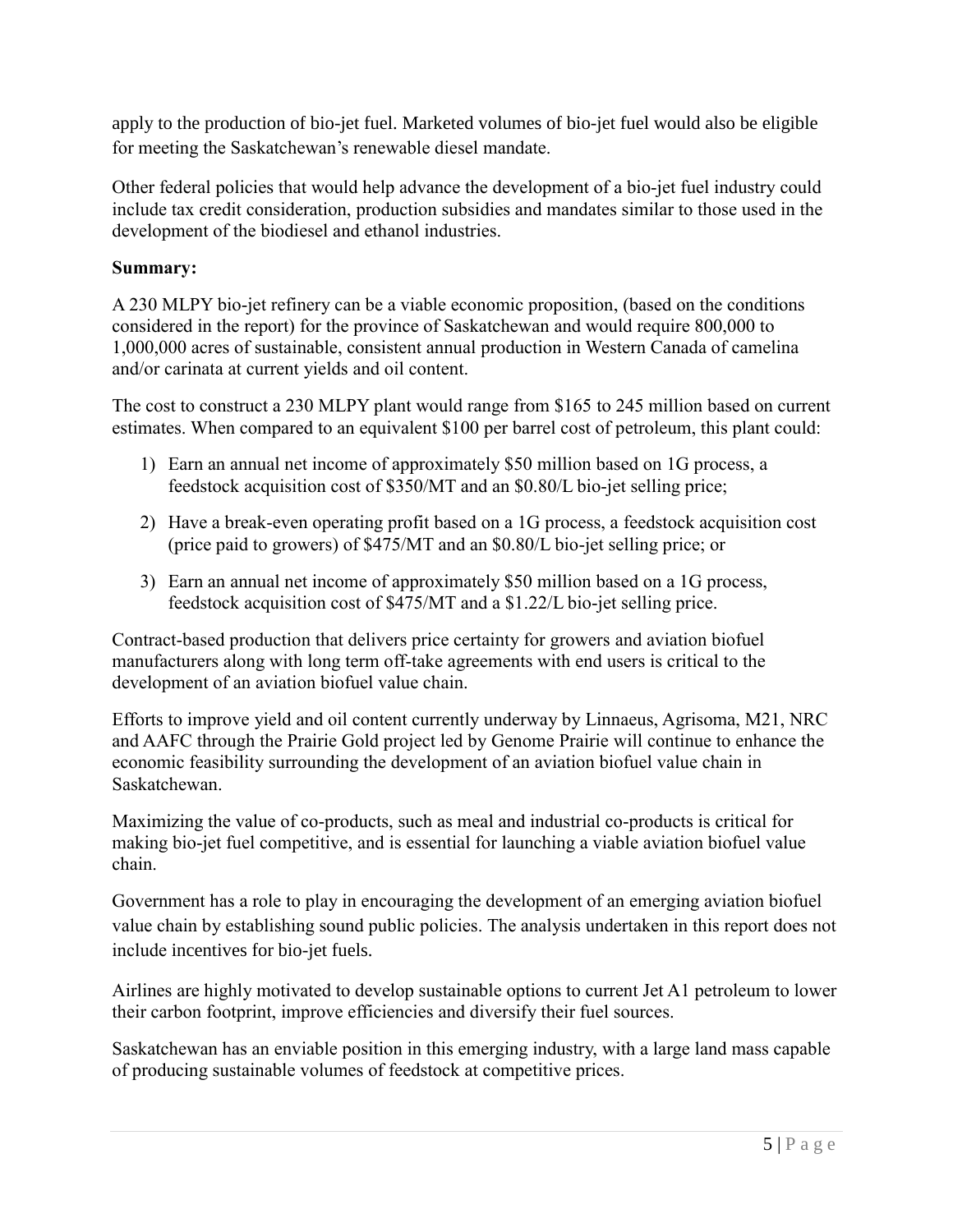apply to the production of bio-jet fuel. Marketed volumes of bio-jet fuel would also be eligible for meeting the Saskatchewan's renewable diesel mandate.

Other federal policies that would help advance the development of a bio-jet fuel industry could include tax credit consideration, production subsidies and mandates similar to those used in the development of the biodiesel and ethanol industries.

#### **Summary:**

A 230 MLPY bio-jet refinery can be a viable economic proposition, (based on the conditions considered in the report) for the province of Saskatchewan and would require 800,000 to 1,000,000 acres of sustainable, consistent annual production in Western Canada of camelina and/or carinata at current yields and oil content.

The cost to construct a 230 MLPY plant would range from \$165 to 245 million based on current estimates. When compared to an equivalent \$100 per barrel cost of petroleum, this plant could:

- 1) Earn an annual net income of approximately \$50 million based on 1G process, a feedstock acquisition cost of \$350/MT and an \$0.80/L bio-jet selling price;
- 2) Have a break-even operating profit based on a 1G process, a feedstock acquisition cost (price paid to growers) of \$475/MT and an \$0.80/L bio-jet selling price; or
- 3) Earn an annual net income of approximately \$50 million based on a 1G process, feedstock acquisition cost of \$475/MT and a \$1.22/L bio-jet selling price.

Contract-based production that delivers price certainty for growers and aviation biofuel manufacturers along with long term off-take agreements with end users is critical to the development of an aviation biofuel value chain.

Efforts to improve yield and oil content currently underway by Linnaeus, Agrisoma, M21, NRC and AAFC through the Prairie Gold project led by Genome Prairie will continue to enhance the economic feasibility surrounding the development of an aviation biofuel value chain in Saskatchewan.

Maximizing the value of co-products, such as meal and industrial co-products is critical for making bio-jet fuel competitive, and is essential for launching a viable aviation biofuel value chain.

Government has a role to play in encouraging the development of an emerging aviation biofuel value chain by establishing sound public policies. The analysis undertaken in this report does not include incentives for bio-jet fuels.

Airlines are highly motivated to develop sustainable options to current Jet A1 petroleum to lower their carbon footprint, improve efficiencies and diversify their fuel sources.

Saskatchewan has an enviable position in this emerging industry, with a large land mass capable of producing sustainable volumes of feedstock at competitive prices.